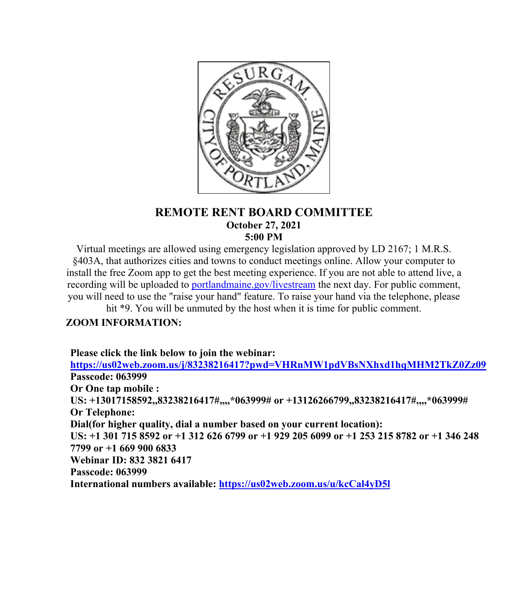

## **REMOTE RENT BOARD COMMITTEE October 27, 2021 5:00 PM**

Virtual meetings are allowed using emergency legislation approved by LD 2167; 1 M.R.S. §403A, that authorizes cities and towns to conduct meetings online. Allow your computer to install the free Zoom app to get the best meeting experience. If you are not able to attend live, a recording will be uploaded to [portlandmaine.gov/livestream](http://portlandmaine.gov/livestream) the next day. For public comment, you will need to use the "raise your hand" feature. To raise your hand via the telephone, please

hit \*9. You will be unmuted by the host when it is time for public comment.

## **ZOOM INFORMATION:**

**Please click the link below to join the webinar:**

**<https://us02web.zoom.us/j/83238216417?pwd=VHRnMW1pdVBsNXhxd1hqMHM2TkZ0Zz09> Passcode: 063999 Or One tap mobile : US: +13017158592,,83238216417#,,,,\*063999# or +13126266799,,83238216417#,,,,\*063999# Or Telephone: Dial(for higher quality, dial a number based on your current location): US: +1 301 715 8592 or +1 312 626 6799 or +1 929 205 6099 or +1 253 215 8782 or +1 346 248 7799 or +1 669 900 6833 Webinar ID: 832 3821 6417 Passcode: 063999 International numbers available: <https://us02web.zoom.us/u/kcCal4yD5l>**